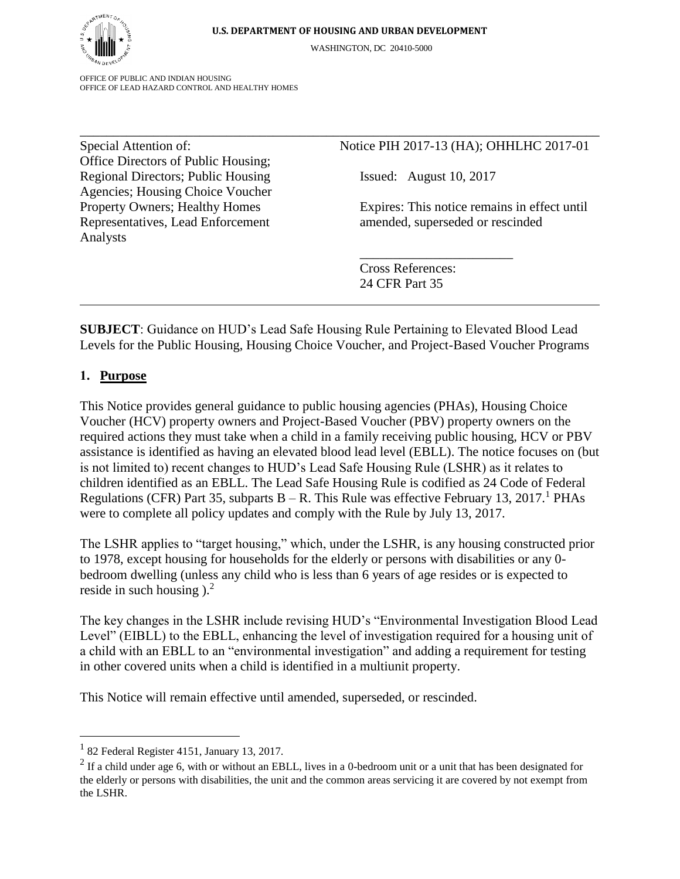\_\_\_\_\_\_\_\_\_\_\_\_\_\_\_\_\_\_\_\_\_\_\_\_\_\_\_\_\_\_\_\_\_\_\_\_\_\_\_\_\_\_\_\_\_\_\_\_\_\_\_\_\_\_\_\_\_\_\_\_\_\_\_\_\_\_\_\_\_\_\_\_\_\_\_\_\_\_

WASHINGTON, DC 20410-5000

OFFICE OF PUBLIC AND INDIAN HOUSING OFFICE OF LEAD HAZARD CONTROL AND HEALTHY HOMES

Office Directors of Public Housing; Regional Directors; Public Housing Issued: August 10, 2017 Agencies; Housing Choice Voucher Representatives, Lead Enforcement amended, superseded or rescinded Analysts

### Special Attention of: Notice PIH 2017-13 (HA); OHHLHC 2017-01

\_\_\_\_\_\_\_\_\_\_\_\_\_\_\_\_\_\_\_\_\_\_\_

Property Owners; Healthy Homes Expires: This notice remains in effect until

Cross References: 24 CFR Part 35

**SUBJECT**: Guidance on HUD's Lead Safe Housing Rule Pertaining to Elevated Blood Lead Levels for the Public Housing, Housing Choice Voucher, and Project-Based Voucher Programs

### 1. **Purpose**

This Notice provides general guidance to public housing agencies (PHAs), Housing Choice Voucher (HCV) property owners and Project-Based Voucher (PBV) property owners on the required actions they must take when a child in a family receiving public housing, HCV or PBV assistance is identified as having an elevated blood lead level (EBLL). The notice focuses on (but is not limited to) recent changes to HUD's Lead Safe Housing Rule (LSHR) as it relates to children identified as an EBLL. The Lead Safe Housing Rule is codified as 24 Code of Federal Regulations (CFR) Part 35, subparts  $B - R$ . This Rule was effective February 13, 2017.<sup>1</sup> PHAs were to complete all policy updates and comply with the Rule by July 13, 2017.

The LSHR applies to "target housing," which, under the LSHR, is any housing constructed prior to 1978, except housing for households for the elderly or persons with disabilities or any 0 bedroom dwelling (unless any child who is less than 6 years of age resides or is expected to reside in such housing  $)^2$ .

The key changes in the LSHR include revising HUD's "Environmental Investigation Blood Lead Level" (EIBLL) to the EBLL, enhancing the level of investigation required for a housing unit of a child with an EBLL to an "environmental investigation" and adding a requirement for testing in other covered units when a child is identified in a multiunit property.

This Notice will remain effective until amended, superseded, or rescinded.

 $\overline{a}$ 

<sup>&</sup>lt;sup>1</sup> 82 Federal Register 4151, January 13, 2017.

<sup>&</sup>lt;sup>2</sup> If a child under age 6, with or without an EBLL, lives in a 0-bedroom unit or a unit that has been designated for the elderly or persons with disabilities, the unit and the common areas servicing it are covered by not exempt from the LSHR.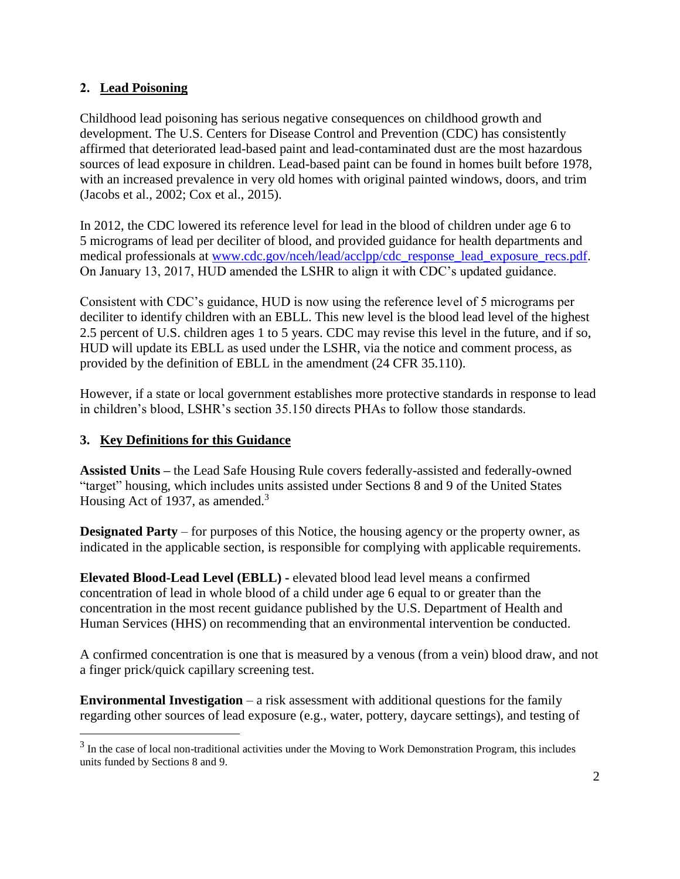## 2. **Lead Poisoning**

Childhood lead poisoning has serious negative consequences on childhood growth and development. The U.S. Centers for Disease Control and Prevention (CDC) has consistently affirmed that deteriorated lead-based paint and lead-contaminated dust are the most hazardous sources of lead exposure in children. Lead-based paint can be found in homes built before 1978, with an increased prevalence in very old homes with original painted windows, doors, and trim (Jacobs et al., 2002; Cox et al., 2015).

In 2012, the CDC lowered its reference level for lead in the blood of children under age 6 to 5 micrograms of lead per deciliter of blood, and provided guidance for health departments and medical professionals at [www.cdc.gov/nceh/lead/acclpp/cdc\\_response\\_lead\\_exposure\\_recs.pdf.](http://www.cdc.gov/nceh/lead/acclpp/cdc_response_lead_exposure_recs.pdf) On January 13, 2017, HUD amended the LSHR to align it with CDC's updated guidance.

Consistent with CDC's guidance, HUD is now using the reference level of 5 micrograms per deciliter to identify children with an EBLL. This new level is the blood lead level of the highest 2.5 percent of U.S. children ages 1 to 5 years. CDC may revise this level in the future, and if so, HUD will update its EBLL as used under the LSHR, via the notice and comment process, as provided by the definition of EBLL in the amendment (24 CFR 35.110).

However, if a state or local government establishes more protective standards in response to lead in children's blood, LSHR's section 35.150 directs PHAs to follow those standards.

# **3. Key Definitions for this Guidance**

 $\overline{a}$ 

**Assisted Units –** the Lead Safe Housing Rule covers federally-assisted and federally-owned "target" housing, which includes units assisted under Sections 8 and 9 of the United States Housing Act of 1937, as amended.<sup>3</sup>

**Designated Party** – for purposes of this Notice, the housing agency or the property owner, as indicated in the applicable section, is responsible for complying with applicable requirements.

**Elevated Blood-Lead Level (EBLL) -** elevated blood lead level means a confirmed concentration of lead in whole blood of a child under age 6 equal to or greater than the concentration in the most recent guidance published by the U.S. Department of Health and Human Services (HHS) on recommending that an environmental intervention be conducted.

A confirmed concentration is one that is measured by a venous (from a vein) blood draw, and not a finger prick/quick capillary screening test.

**Environmental Investigation** – a risk assessment with additional questions for the family regarding other sources of lead exposure (e.g., water, pottery, daycare settings), and testing of

 $3$  In the case of local non-traditional activities under the Moving to Work Demonstration Program, this includes units funded by Sections 8 and 9.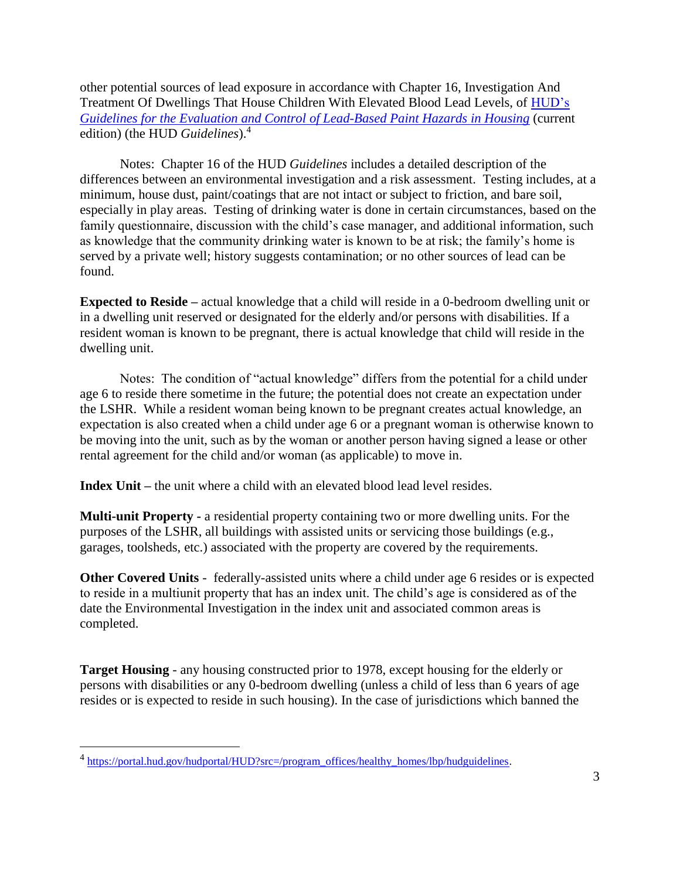other potential sources of lead exposure in accordance with Chapter 16, Investigation And Treatment Of Dwellings That House Children With Elevated Blood Lead Levels, of [HUD's](https://portal.hud.gov/hudportal/HUD?src=/program_offices/healthy_homes/lbp/hudguidelines)  *[Guidelines for the Evaluation and Control of Lead-Based Paint Hazards in Housing](https://portal.hud.gov/hudportal/HUD?src=/program_offices/healthy_homes/lbp/hudguidelines)* (current edition) (the HUD *Guidelines*).<sup>4</sup>

Notes: Chapter 16 of the HUD *Guidelines* includes a detailed description of the differences between an environmental investigation and a risk assessment. Testing includes, at a minimum, house dust, paint/coatings that are not intact or subject to friction, and bare soil, especially in play areas. Testing of drinking water is done in certain circumstances, based on the family questionnaire, discussion with the child's case manager, and additional information, such as knowledge that the community drinking water is known to be at risk; the family's home is served by a private well; history suggests contamination; or no other sources of lead can be found.

**Expected to Reside –** actual knowledge that a child will reside in a 0-bedroom dwelling unit or in a dwelling unit reserved or designated for the elderly and/or persons with disabilities. If a resident woman is known to be pregnant, there is actual knowledge that child will reside in the dwelling unit.

Notes: The condition of "actual knowledge" differs from the potential for a child under age 6 to reside there sometime in the future; the potential does not create an expectation under the LSHR. While a resident woman being known to be pregnant creates actual knowledge, an expectation is also created when a child under age 6 or a pregnant woman is otherwise known to be moving into the unit, such as by the woman or another person having signed a lease or other rental agreement for the child and/or woman (as applicable) to move in.

**Index Unit –** the unit where a child with an elevated blood lead level resides.

**Multi-unit Property -** a residential property containing two or more dwelling units. For the purposes of the LSHR, all buildings with assisted units or servicing those buildings (e.g., garages, toolsheds, etc.) associated with the property are covered by the requirements.

**Other Covered Units** - federally-assisted units where a child under age 6 resides or is expected to reside in a multiunit property that has an index unit. The child's age is considered as of the date the Environmental Investigation in the index unit and associated common areas is completed.

**Target Housing** - any housing constructed prior to 1978, except housing for the elderly or persons with disabilities or any 0-bedroom dwelling (unless a child of less than 6 years of age resides or is expected to reside in such housing). In the case of jurisdictions which banned the

 $\overline{a}$ 

<sup>&</sup>lt;sup>4</sup> [https://portal.hud.gov/hudportal/HUD?src=/program\\_offices/healthy\\_homes/lbp/hudguidelines.](https://portal.hud.gov/hudportal/HUD?src=/program_offices/healthy_homes/lbp/hudguidelines)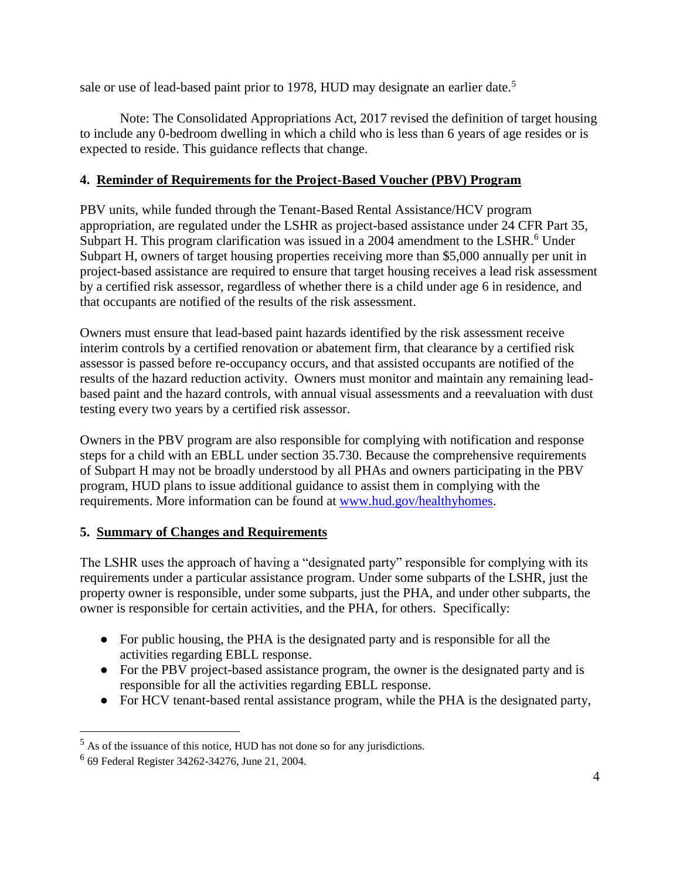sale or use of lead-based paint prior to 1978, HUD may designate an earlier date.<sup>5</sup>

Note: The Consolidated Appropriations Act, 2017 revised the definition of target housing to include any 0-bedroom dwelling in which a child who is less than 6 years of age resides or is expected to reside. This guidance reflects that change.

## **4. Reminder of Requirements for the Project-Based Voucher (PBV) Program**

PBV units, while funded through the Tenant-Based Rental Assistance/HCV program appropriation, are regulated under the LSHR as project-based assistance under 24 CFR Part 35, Subpart H. This program clarification was issued in a 2004 amendment to the LSHR.<sup>6</sup> Under Subpart H, owners of target housing properties receiving more than \$5,000 annually per unit in project-based assistance are required to ensure that target housing receives a lead risk assessment by a certified risk assessor, regardless of whether there is a child under age 6 in residence, and that occupants are notified of the results of the risk assessment.

Owners must ensure that lead-based paint hazards identified by the risk assessment receive interim controls by a certified renovation or abatement firm, that clearance by a certified risk assessor is passed before re-occupancy occurs, and that assisted occupants are notified of the results of the hazard reduction activity. Owners must monitor and maintain any remaining leadbased paint and the hazard controls, with annual visual assessments and a reevaluation with dust testing every two years by a certified risk assessor.

Owners in the PBV program are also responsible for complying with notification and response steps for a child with an EBLL under section 35.730. Because the comprehensive requirements of Subpart H may not be broadly understood by all PHAs and owners participating in the PBV program, HUD plans to issue additional guidance to assist them in complying with the requirements. More information can be found at [www.hud.gov/healthyhomes.](http://www.hud.gov/healthyhomes)

### **5. Summary of Changes and Requirements**

The LSHR uses the approach of having a "designated party" responsible for complying with its requirements under a particular assistance program. Under some subparts of the LSHR, just the property owner is responsible, under some subparts, just the PHA, and under other subparts, the owner is responsible for certain activities, and the PHA, for others. Specifically:

- For public housing, the PHA is the designated party and is responsible for all the activities regarding EBLL response.
- For the PBV project-based assistance program, the owner is the designated party and is responsible for all the activities regarding EBLL response.
- For HCV tenant-based rental assistance program, while the PHA is the designated party,

 $\overline{a}$ 

 $<sup>5</sup>$  As of the issuance of this notice, HUD has not done so for any jurisdictions.</sup>

<sup>6</sup> 69 Federal Register 34262-34276, June 21, 2004.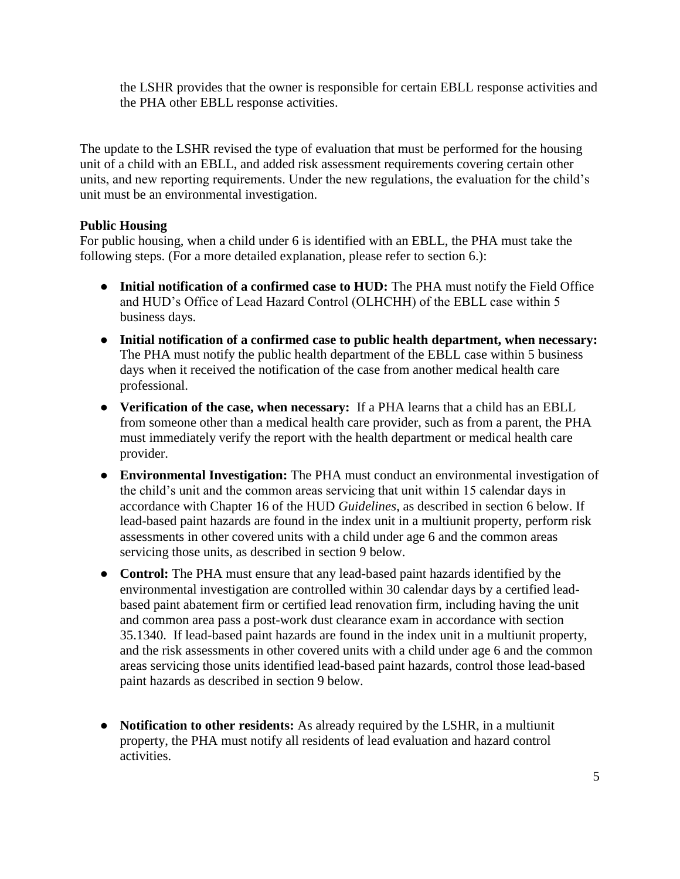the LSHR provides that the owner is responsible for certain EBLL response activities and the PHA other EBLL response activities.

The update to the LSHR revised the type of evaluation that must be performed for the housing unit of a child with an EBLL, and added risk assessment requirements covering certain other units, and new reporting requirements. Under the new regulations, the evaluation for the child's unit must be an environmental investigation.

### **Public Housing**

For public housing, when a child under 6 is identified with an EBLL, the PHA must take the following steps. (For a more detailed explanation, please refer to section 6.):

- **Initial notification of a confirmed case to HUD:** The PHA must notify the Field Office and HUD's Office of Lead Hazard Control (OLHCHH) of the EBLL case within 5 business days.
- **Initial notification of a confirmed case to public health department, when necessary:** The PHA must notify the public health department of the EBLL case within 5 business days when it received the notification of the case from another medical health care professional.
- **Verification of the case, when necessary:** If a PHA learns that a child has an EBLL from someone other than a medical health care provider, such as from a parent, the PHA must immediately verify the report with the health department or medical health care provider.
- **Environmental Investigation:** The PHA must conduct an environmental investigation of the child's unit and the common areas servicing that unit within 15 calendar days in accordance with Chapter 16 of the HUD *Guidelines*, as described in section 6 below. If lead-based paint hazards are found in the index unit in a multiunit property, perform risk assessments in other covered units with a child under age 6 and the common areas servicing those units, as described in section 9 below.
- **Control:** The PHA must ensure that any lead-based paint hazards identified by the environmental investigation are controlled within 30 calendar days by a certified leadbased paint abatement firm or certified lead renovation firm, including having the unit and common area pass a post-work dust clearance exam in accordance with section 35.1340. If lead-based paint hazards are found in the index unit in a multiunit property, and the risk assessments in other covered units with a child under age 6 and the common areas servicing those units identified lead-based paint hazards, control those lead-based paint hazards as described in section 9 below.
- **Notification to other residents:** As already required by the LSHR, in a multiunit property, the PHA must notify all residents of lead evaluation and hazard control activities.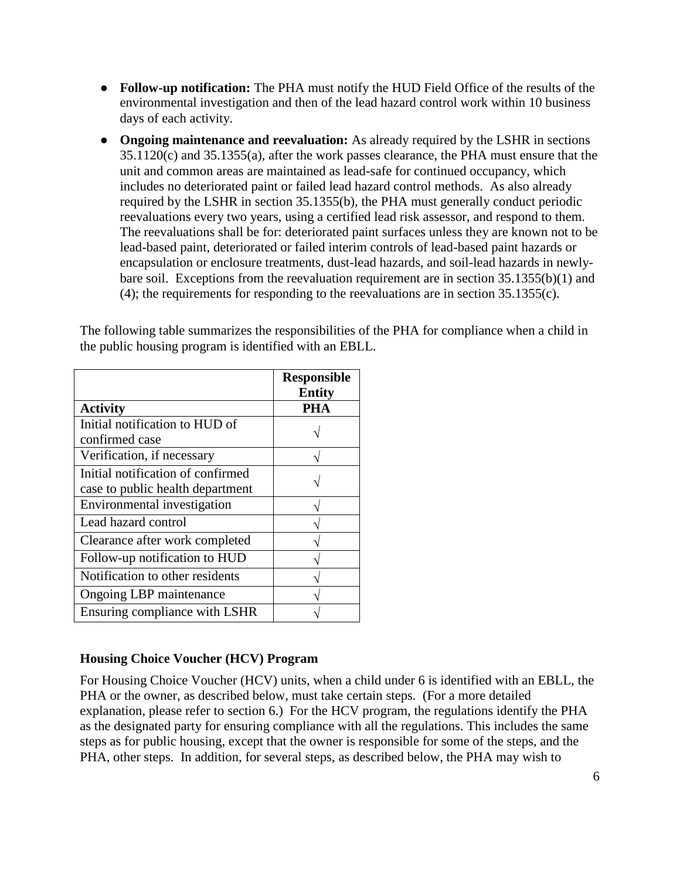- **Follow-up notification:** The PHA must notify the HUD Field Office of the results of the environmental investigation and then of the lead hazard control work within 10 business days of each activity.
- **Ongoing maintenance and reevaluation:** As already required by the LSHR in sections 35.1120(c) and 35.1355(a), after the work passes clearance, the PHA must ensure that the unit and common areas are maintained as lead-safe for continued occupancy, which includes no deteriorated paint or failed lead hazard control methods. As also already required by the LSHR in section 35.1355(b), the PHA must generally conduct periodic reevaluations every two years, using a certified lead risk assessor, and respond to them. The reevaluations shall be for: deteriorated paint surfaces unless they are known not to be lead-based paint, deteriorated or failed interim controls of lead-based paint hazards or encapsulation or enclosure treatments, dust-lead hazards, and soil-lead hazards in newlybare soil. Exceptions from the reevaluation requirement are in section 35.1355(b)(1) and (4); the requirements for responding to the reevaluations are in section 35.1355(c).

The following table summarizes the responsibilities of the PHA for compliance when a child in the public housing program is identified with an EBLL.

|                                   | <b>Responsible</b> |
|-----------------------------------|--------------------|
|                                   | <b>Entity</b>      |
| <b>Activity</b>                   | PHA                |
| Initial notification to HUD of    |                    |
| confirmed case                    |                    |
| Verification, if necessary        |                    |
| Initial notification of confirmed |                    |
| case to public health department  |                    |
| Environmental investigation       |                    |
| Lead hazard control               |                    |
| Clearance after work completed    |                    |
| Follow-up notification to HUD     |                    |
| Notification to other residents   |                    |
| Ongoing LBP maintenance           |                    |
| Ensuring compliance with LSHR     |                    |

# **Housing Choice Voucher (HCV) Program**

For Housing Choice Voucher (HCV) units, when a child under 6 is identified with an EBLL, the PHA or the owner, as described below, must take certain steps. (For a more detailed explanation, please refer to section 6.) For the HCV program, the regulations identify the PHA as the designated party for ensuring compliance with all the regulations. This includes the same steps as for public housing, except that the owner is responsible for some of the steps, and the PHA, other steps. In addition, for several steps, as described below, the PHA may wish to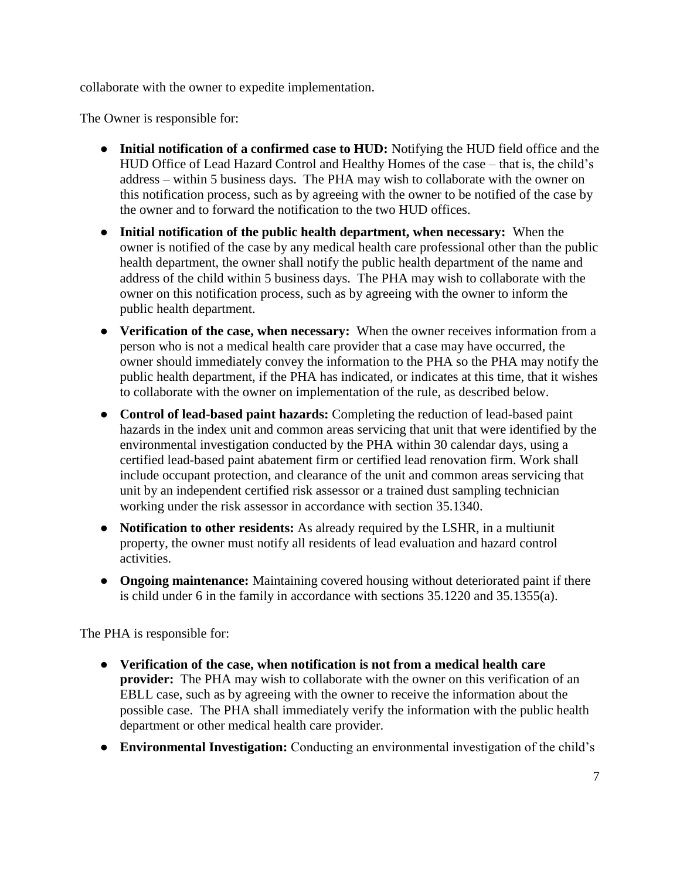collaborate with the owner to expedite implementation.

The Owner is responsible for:

- **Initial notification of a confirmed case to HUD:** Notifying the HUD field office and the HUD Office of Lead Hazard Control and Healthy Homes of the case – that is, the child's address – within 5 business days. The PHA may wish to collaborate with the owner on this notification process, such as by agreeing with the owner to be notified of the case by the owner and to forward the notification to the two HUD offices.
- **Initial notification of the public health department, when necessary:** When the owner is notified of the case by any medical health care professional other than the public health department, the owner shall notify the public health department of the name and address of the child within 5 business days. The PHA may wish to collaborate with the owner on this notification process, such as by agreeing with the owner to inform the public health department.
- **Verification of the case, when necessary:** When the owner receives information from a person who is not a medical health care provider that a case may have occurred, the owner should immediately convey the information to the PHA so the PHA may notify the public health department, if the PHA has indicated, or indicates at this time, that it wishes to collaborate with the owner on implementation of the rule, as described below.
- **Control of lead-based paint hazards:** Completing the reduction of lead-based paint hazards in the index unit and common areas servicing that unit that were identified by the environmental investigation conducted by the PHA within 30 calendar days, using a certified lead-based paint abatement firm or certified lead renovation firm. Work shall include occupant protection, and clearance of the unit and common areas servicing that unit by an independent certified risk assessor or a trained dust sampling technician working under the risk assessor in accordance with section 35.1340.
- **Notification to other residents:** As already required by the LSHR, in a multiunit property, the owner must notify all residents of lead evaluation and hazard control activities.
- **Ongoing maintenance:** Maintaining covered housing without deteriorated paint if there is child under 6 in the family in accordance with sections 35.1220 and 35.1355(a).

The PHA is responsible for:

- **Verification of the case, when notification is not from a medical health care provider:** The PHA may wish to collaborate with the owner on this verification of an EBLL case, such as by agreeing with the owner to receive the information about the possible case. The PHA shall immediately verify the information with the public health department or other medical health care provider.
- **Environmental Investigation:** Conducting an environmental investigation of the child's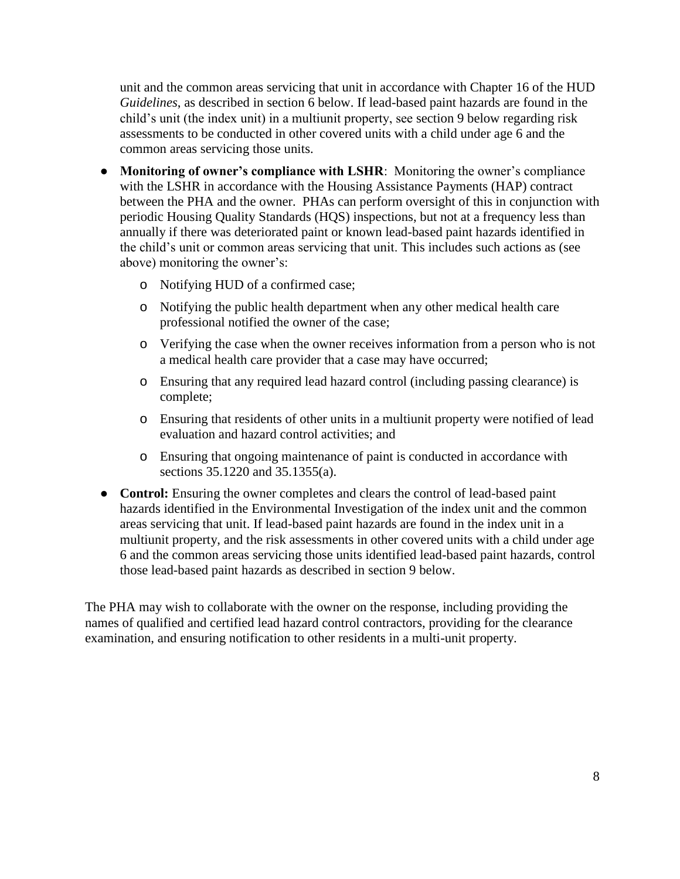unit and the common areas servicing that unit in accordance with Chapter 16 of the HUD *Guidelines*, as described in section 6 below. If lead-based paint hazards are found in the child's unit (the index unit) in a multiunit property, see section 9 below regarding risk assessments to be conducted in other covered units with a child under age 6 and the common areas servicing those units.

- **Monitoring of owner's compliance with LSHR**: Monitoring the owner's compliance with the LSHR in accordance with the Housing Assistance Payments (HAP) contract between the PHA and the owner. PHAs can perform oversight of this in conjunction with periodic Housing Quality Standards (HQS) inspections, but not at a frequency less than annually if there was deteriorated paint or known lead-based paint hazards identified in the child's unit or common areas servicing that unit. This includes such actions as (see above) monitoring the owner's:
	- o Notifying HUD of a confirmed case;
	- o Notifying the public health department when any other medical health care professional notified the owner of the case;
	- o Verifying the case when the owner receives information from a person who is not a medical health care provider that a case may have occurred;
	- o Ensuring that any required lead hazard control (including passing clearance) is complete;
	- o Ensuring that residents of other units in a multiunit property were notified of lead evaluation and hazard control activities; and
	- o Ensuring that ongoing maintenance of paint is conducted in accordance with sections 35.1220 and 35.1355(a).
- **Control:** Ensuring the owner completes and clears the control of lead-based paint hazards identified in the Environmental Investigation of the index unit and the common areas servicing that unit. If lead-based paint hazards are found in the index unit in a multiunit property, and the risk assessments in other covered units with a child under age 6 and the common areas servicing those units identified lead-based paint hazards, control those lead-based paint hazards as described in section 9 below.

The PHA may wish to collaborate with the owner on the response, including providing the names of qualified and certified lead hazard control contractors, providing for the clearance examination, and ensuring notification to other residents in a multi-unit property.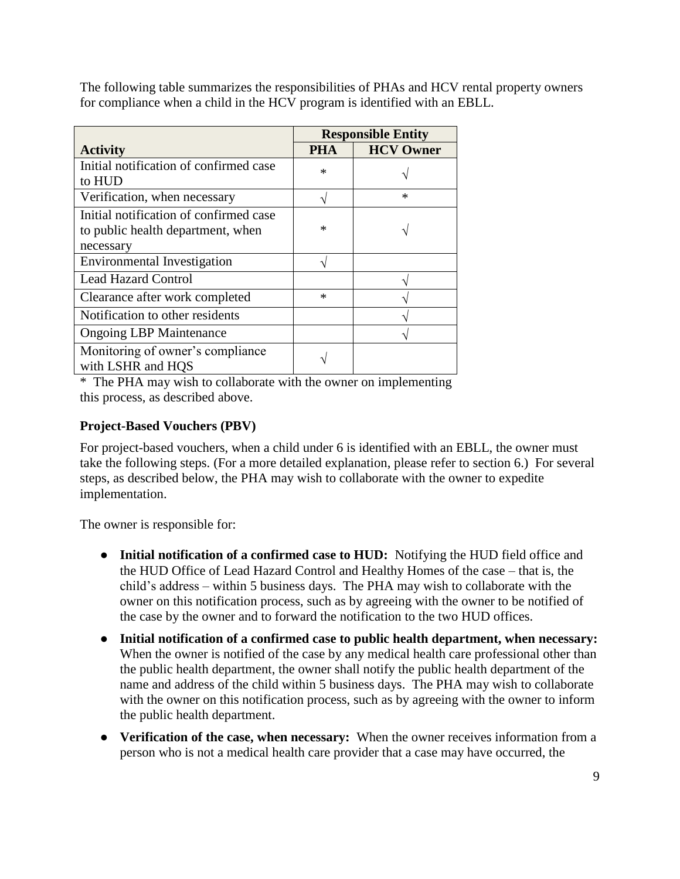The following table summarizes the responsibilities of PHAs and HCV rental property owners for compliance when a child in the HCV program is identified with an EBLL.

|                                                                                          | <b>Responsible Entity</b> |                  |
|------------------------------------------------------------------------------------------|---------------------------|------------------|
| <b>Activity</b>                                                                          | <b>PHA</b>                | <b>HCV Owner</b> |
| Initial notification of confirmed case<br>to HUD                                         | $\ast$                    |                  |
| Verification, when necessary                                                             |                           | $\ast$           |
| Initial notification of confirmed case<br>to public health department, when<br>necessary | $\ast$                    |                  |
| <b>Environmental Investigation</b>                                                       |                           |                  |
| <b>Lead Hazard Control</b>                                                               |                           |                  |
| Clearance after work completed                                                           | $\ast$                    |                  |
| Notification to other residents                                                          |                           |                  |
| <b>Ongoing LBP Maintenance</b>                                                           |                           |                  |
| Monitoring of owner's compliance<br>with LSHR and HOS                                    |                           |                  |

\* The PHA may wish to collaborate with the owner on implementing this process, as described above.

### **Project-Based Vouchers (PBV)**

For project-based vouchers, when a child under 6 is identified with an EBLL, the owner must take the following steps. (For a more detailed explanation, please refer to section 6.) For several steps, as described below, the PHA may wish to collaborate with the owner to expedite implementation.

The owner is responsible for:

- **Initial notification of a confirmed case to HUD:** Notifying the HUD field office and the HUD Office of Lead Hazard Control and Healthy Homes of the case – that is, the child's address – within 5 business days. The PHA may wish to collaborate with the owner on this notification process, such as by agreeing with the owner to be notified of the case by the owner and to forward the notification to the two HUD offices.
- **Initial notification of a confirmed case to public health department, when necessary:** When the owner is notified of the case by any medical health care professional other than the public health department, the owner shall notify the public health department of the name and address of the child within 5 business days. The PHA may wish to collaborate with the owner on this notification process, such as by agreeing with the owner to inform the public health department.
- **Verification of the case, when necessary:** When the owner receives information from a person who is not a medical health care provider that a case may have occurred, the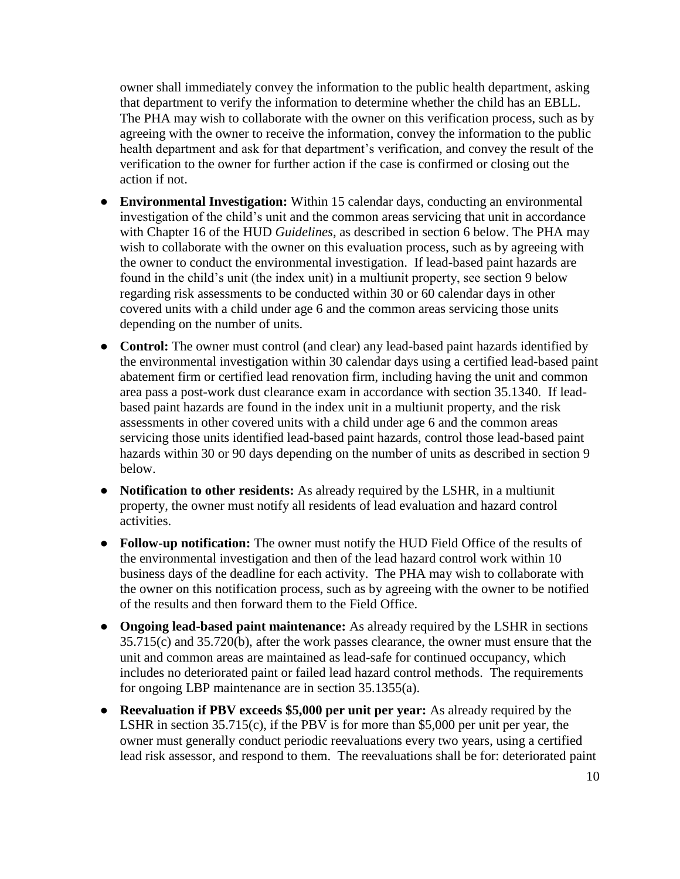owner shall immediately convey the information to the public health department, asking that department to verify the information to determine whether the child has an EBLL. The PHA may wish to collaborate with the owner on this verification process, such as by agreeing with the owner to receive the information, convey the information to the public health department and ask for that department's verification, and convey the result of the verification to the owner for further action if the case is confirmed or closing out the action if not.

- **Environmental Investigation:** Within 15 calendar days, conducting an environmental investigation of the child's unit and the common areas servicing that unit in accordance with Chapter 16 of the HUD *Guidelines*, as described in section 6 below. The PHA may wish to collaborate with the owner on this evaluation process, such as by agreeing with the owner to conduct the environmental investigation. If lead-based paint hazards are found in the child's unit (the index unit) in a multiunit property, see section 9 below regarding risk assessments to be conducted within 30 or 60 calendar days in other covered units with a child under age 6 and the common areas servicing those units depending on the number of units.
- **Control:** The owner must control (and clear) any lead-based paint hazards identified by the environmental investigation within 30 calendar days using a certified lead-based paint abatement firm or certified lead renovation firm, including having the unit and common area pass a post-work dust clearance exam in accordance with section 35.1340. If leadbased paint hazards are found in the index unit in a multiunit property, and the risk assessments in other covered units with a child under age 6 and the common areas servicing those units identified lead-based paint hazards, control those lead-based paint hazards within 30 or 90 days depending on the number of units as described in section 9 below.
- **Notification to other residents:** As already required by the LSHR, in a multiunit property, the owner must notify all residents of lead evaluation and hazard control activities.
- **Follow-up notification:** The owner must notify the HUD Field Office of the results of the environmental investigation and then of the lead hazard control work within 10 business days of the deadline for each activity. The PHA may wish to collaborate with the owner on this notification process, such as by agreeing with the owner to be notified of the results and then forward them to the Field Office.
- **Ongoing lead-based paint maintenance:** As already required by the LSHR in sections 35.715(c) and 35.720(b), after the work passes clearance, the owner must ensure that the unit and common areas are maintained as lead-safe for continued occupancy, which includes no deteriorated paint or failed lead hazard control methods. The requirements for ongoing LBP maintenance are in section 35.1355(a).
- **Reevaluation if PBV exceeds \$5,000 per unit per year:** As already required by the LSHR in section 35.715(c), if the PBV is for more than \$5,000 per unit per year, the owner must generally conduct periodic reevaluations every two years, using a certified lead risk assessor, and respond to them. The reevaluations shall be for: deteriorated paint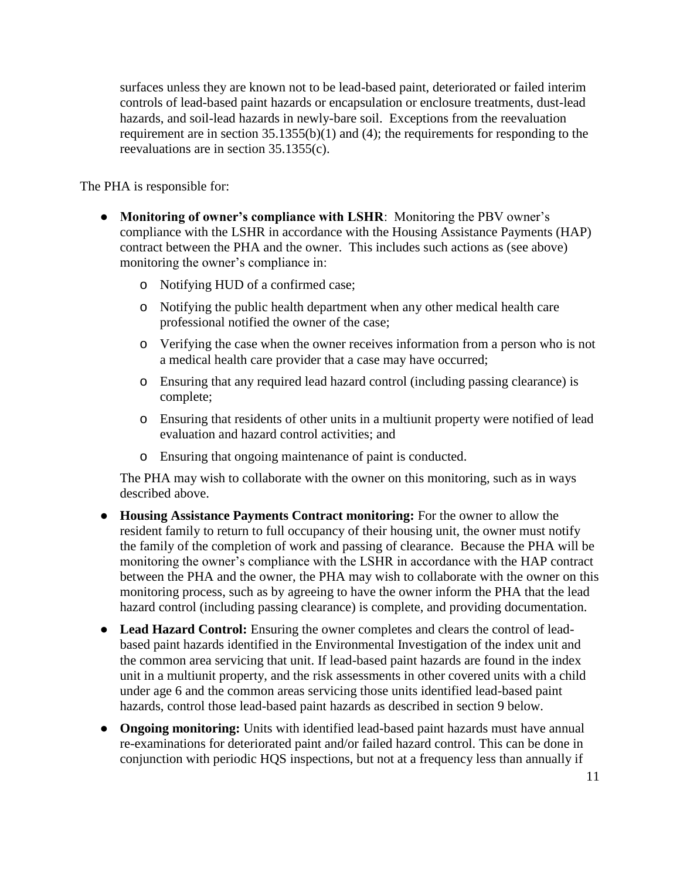surfaces unless they are known not to be lead-based paint, deteriorated or failed interim controls of lead-based paint hazards or encapsulation or enclosure treatments, dust-lead hazards, and soil-lead hazards in newly-bare soil. Exceptions from the reevaluation requirement are in section 35.1355(b)(1) and (4); the requirements for responding to the reevaluations are in section 35.1355(c).

The PHA is responsible for:

- **Monitoring of owner's compliance with LSHR**: Monitoring the PBV owner's compliance with the LSHR in accordance with the Housing Assistance Payments (HAP) contract between the PHA and the owner. This includes such actions as (see above) monitoring the owner's compliance in:
	- o Notifying HUD of a confirmed case;
	- o Notifying the public health department when any other medical health care professional notified the owner of the case;
	- o Verifying the case when the owner receives information from a person who is not a medical health care provider that a case may have occurred;
	- o Ensuring that any required lead hazard control (including passing clearance) is complete;
	- o Ensuring that residents of other units in a multiunit property were notified of lead evaluation and hazard control activities; and
	- o Ensuring that ongoing maintenance of paint is conducted.

The PHA may wish to collaborate with the owner on this monitoring, such as in ways described above.

- **Housing Assistance Payments Contract monitoring:** For the owner to allow the resident family to return to full occupancy of their housing unit, the owner must notify the family of the completion of work and passing of clearance. Because the PHA will be monitoring the owner's compliance with the LSHR in accordance with the HAP contract between the PHA and the owner, the PHA may wish to collaborate with the owner on this monitoring process, such as by agreeing to have the owner inform the PHA that the lead hazard control (including passing clearance) is complete, and providing documentation.
- Lead Hazard Control: Ensuring the owner completes and clears the control of leadbased paint hazards identified in the Environmental Investigation of the index unit and the common area servicing that unit. If lead-based paint hazards are found in the index unit in a multiunit property, and the risk assessments in other covered units with a child under age 6 and the common areas servicing those units identified lead-based paint hazards, control those lead-based paint hazards as described in section 9 below.
- **Ongoing monitoring:** Units with identified lead-based paint hazards must have annual re-examinations for deteriorated paint and/or failed hazard control. This can be done in conjunction with periodic HQS inspections, but not at a frequency less than annually if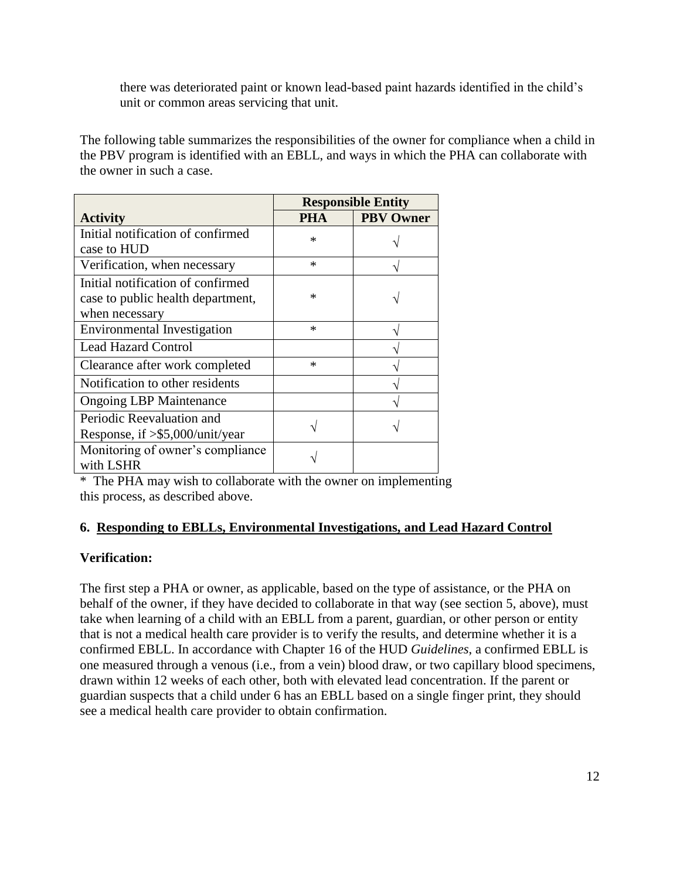there was deteriorated paint or known lead-based paint hazards identified in the child's unit or common areas servicing that unit.

The following table summarizes the responsibilities of the owner for compliance when a child in the PBV program is identified with an EBLL, and ways in which the PHA can collaborate with the owner in such a case.

|                                    | <b>Responsible Entity</b> |                  |
|------------------------------------|---------------------------|------------------|
| <b>Activity</b>                    | РНА                       | <b>PBV Owner</b> |
| Initial notification of confirmed  | $\ast$                    |                  |
| case to HUD                        |                           |                  |
| Verification, when necessary       | $\ast$                    |                  |
| Initial notification of confirmed  |                           |                  |
| case to public health department,  | ж                         |                  |
| when necessary                     |                           |                  |
| <b>Environmental Investigation</b> | $\ast$                    |                  |
| <b>Lead Hazard Control</b>         |                           |                  |
| Clearance after work completed     | $\ast$                    |                  |
| Notification to other residents    |                           |                  |
| <b>Ongoing LBP Maintenance</b>     |                           |                  |
| Periodic Reevaluation and          |                           |                  |
| Response, if >\$5,000/unit/year    |                           |                  |
| Monitoring of owner's compliance   |                           |                  |
| with LSHR                          |                           |                  |

\* The PHA may wish to collaborate with the owner on implementing this process, as described above.

# **6. Responding to EBLLs, Environmental Investigations, and Lead Hazard Control**

### **Verification:**

The first step a PHA or owner, as applicable, based on the type of assistance, or the PHA on behalf of the owner, if they have decided to collaborate in that way (see section 5, above), must take when learning of a child with an EBLL from a parent, guardian, or other person or entity that is not a medical health care provider is to verify the results, and determine whether it is a confirmed EBLL. In accordance with Chapter 16 of the HUD *Guidelines*, a confirmed EBLL is one measured through a venous (i.e., from a vein) blood draw, or two capillary blood specimens, drawn within 12 weeks of each other, both with elevated lead concentration. If the parent or guardian suspects that a child under 6 has an EBLL based on a single finger print, they should see a medical health care provider to obtain confirmation.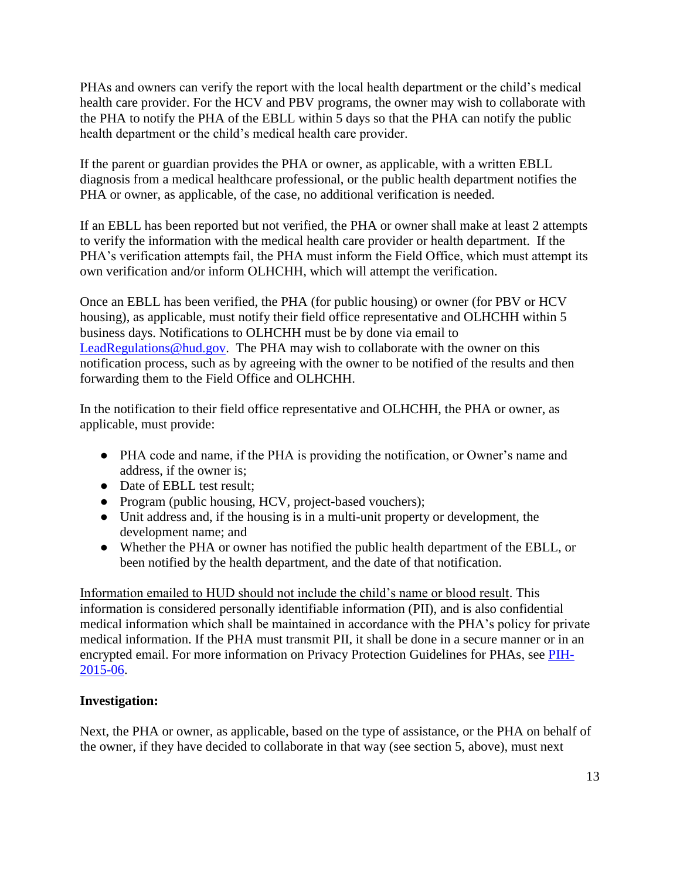PHAs and owners can verify the report with the local health department or the child's medical health care provider. For the HCV and PBV programs, the owner may wish to collaborate with the PHA to notify the PHA of the EBLL within 5 days so that the PHA can notify the public health department or the child's medical health care provider.

If the parent or guardian provides the PHA or owner, as applicable, with a written EBLL diagnosis from a medical healthcare professional, or the public health department notifies the PHA or owner, as applicable, of the case, no additional verification is needed.

If an EBLL has been reported but not verified, the PHA or owner shall make at least 2 attempts to verify the information with the medical health care provider or health department. If the PHA's verification attempts fail, the PHA must inform the Field Office, which must attempt its own verification and/or inform OLHCHH, which will attempt the verification.

Once an EBLL has been verified, the PHA (for public housing) or owner (for PBV or HCV housing), as applicable, must notify their field office representative and OLHCHH within 5 business days. Notifications to OLHCHH must be by done via email to [LeadRegulations@hud.gov.](mailto:LeadRegulations@hud.gov) The PHA may wish to collaborate with the owner on this notification process, such as by agreeing with the owner to be notified of the results and then forwarding them to the Field Office and OLHCHH.

In the notification to their field office representative and OLHCHH, the PHA or owner, as applicable, must provide:

- PHA code and name, if the PHA is providing the notification, or Owner's name and address, if the owner is;
- Date of EBLL test result:
- Program (public housing, HCV, project-based vouchers);
- Unit address and, if the housing is in a multi-unit property or development, the development name; and
- Whether the PHA or owner has notified the public health department of the EBLL, or been notified by the health department, and the date of that notification.

Information emailed to HUD should not include the child's name or blood result. This information is considered personally identifiable information (PII), and is also confidential medical information which shall be maintained in accordance with the PHA's policy for private medical information. If the PHA must transmit PII, it shall be done in a secure manner or in an encrypted email. For more information on Privacy Protection Guidelines for PHAs, see [PIH-](https://portal.hud.gov/hudportal/documents/huddoc?id=15-06pihn.pdf)[2015-06.](https://portal.hud.gov/hudportal/documents/huddoc?id=15-06pihn.pdf)

### **Investigation:**

Next, the PHA or owner, as applicable, based on the type of assistance, or the PHA on behalf of the owner, if they have decided to collaborate in that way (see section 5, above), must next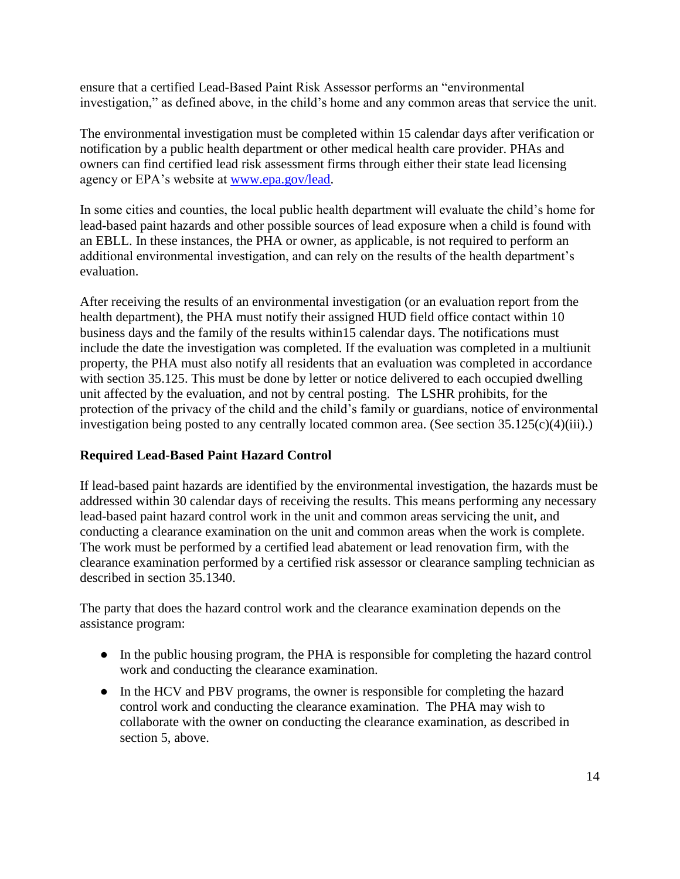ensure that a certified Lead-Based Paint Risk Assessor performs an "environmental investigation," as defined above, in the child's home and any common areas that service the unit.

The environmental investigation must be completed within 15 calendar days after verification or notification by a public health department or other medical health care provider. PHAs and owners can find certified lead risk assessment firms through either their state lead licensing agency or EPA's website at [www.epa.gov/lead.](http://www.epa.gov/lead)

In some cities and counties, the local public health department will evaluate the child's home for lead-based paint hazards and other possible sources of lead exposure when a child is found with an EBLL. In these instances, the PHA or owner, as applicable, is not required to perform an additional environmental investigation, and can rely on the results of the health department's evaluation.

After receiving the results of an environmental investigation (or an evaluation report from the health department), the PHA must notify their assigned HUD field office contact within 10 business days and the family of the results within15 calendar days. The notifications must include the date the investigation was completed. If the evaluation was completed in a multiunit property, the PHA must also notify all residents that an evaluation was completed in accordance with section 35.125. This must be done by letter or notice delivered to each occupied dwelling unit affected by the evaluation, and not by central posting. The LSHR prohibits, for the protection of the privacy of the child and the child's family or guardians, notice of environmental investigation being posted to any centrally located common area. (See section 35.125(c)(4)(iii).)

### **Required Lead-Based Paint Hazard Control**

If lead-based paint hazards are identified by the environmental investigation, the hazards must be addressed within 30 calendar days of receiving the results. This means performing any necessary lead-based paint hazard control work in the unit and common areas servicing the unit, and conducting a clearance examination on the unit and common areas when the work is complete. The work must be performed by a certified lead abatement or lead renovation firm, with the clearance examination performed by a certified risk assessor or clearance sampling technician as described in section 35.1340.

The party that does the hazard control work and the clearance examination depends on the assistance program:

- In the public housing program, the PHA is responsible for completing the hazard control work and conducting the clearance examination.
- In the HCV and PBV programs, the owner is responsible for completing the hazard control work and conducting the clearance examination. The PHA may wish to collaborate with the owner on conducting the clearance examination, as described in section 5, above.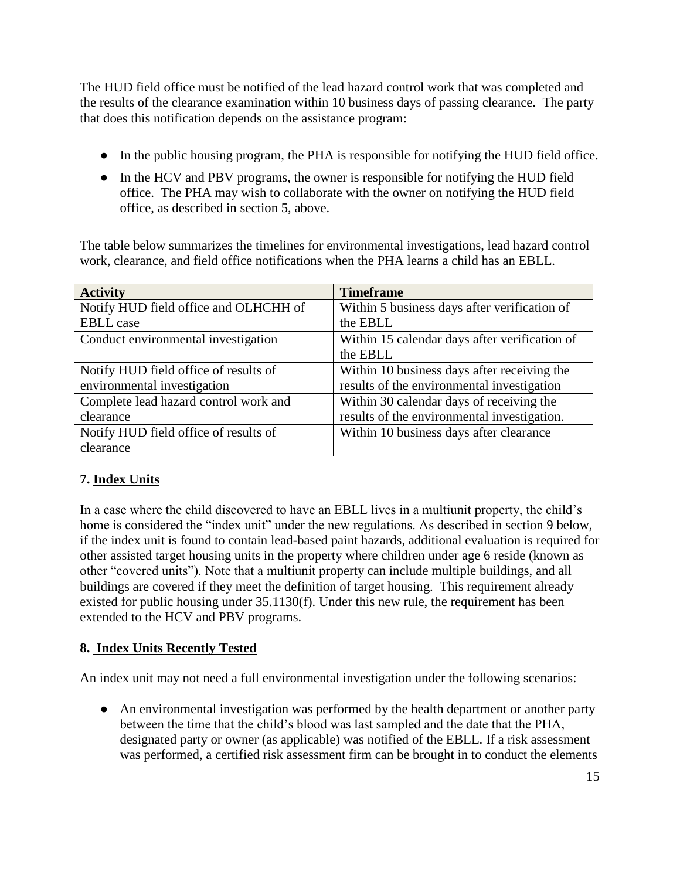The HUD field office must be notified of the lead hazard control work that was completed and the results of the clearance examination within 10 business days of passing clearance. The party that does this notification depends on the assistance program:

- In the public housing program, the PHA is responsible for notifying the HUD field office.
- In the HCV and PBV programs, the owner is responsible for notifying the HUD field office. The PHA may wish to collaborate with the owner on notifying the HUD field office, as described in section 5, above.

The table below summarizes the timelines for environmental investigations, lead hazard control work, clearance, and field office notifications when the PHA learns a child has an EBLL.

| <b>Activity</b>                       | <b>Timeframe</b>                              |
|---------------------------------------|-----------------------------------------------|
| Notify HUD field office and OLHCHH of | Within 5 business days after verification of  |
| <b>EBLL</b> case                      | the EBLL                                      |
| Conduct environmental investigation   | Within 15 calendar days after verification of |
|                                       | the EBLL                                      |
| Notify HUD field office of results of | Within 10 business days after receiving the   |
| environmental investigation           | results of the environmental investigation    |
| Complete lead hazard control work and | Within 30 calendar days of receiving the      |
| clearance                             | results of the environmental investigation.   |
| Notify HUD field office of results of | Within 10 business days after clearance       |
| clearance                             |                                               |

# **7. Index Units**

In a case where the child discovered to have an EBLL lives in a multiunit property, the child's home is considered the "index unit" under the new regulations. As described in section 9 below, if the index unit is found to contain lead-based paint hazards, additional evaluation is required for other assisted target housing units in the property where children under age 6 reside (known as other "covered units"). Note that a multiunit property can include multiple buildings, and all buildings are covered if they meet the definition of target housing. This requirement already existed for public housing under 35.1130(f). Under this new rule, the requirement has been extended to the HCV and PBV programs.

# **8. Index Units Recently Tested**

An index unit may not need a full environmental investigation under the following scenarios:

• An environmental investigation was performed by the health department or another party between the time that the child's blood was last sampled and the date that the PHA, designated party or owner (as applicable) was notified of the EBLL. If a risk assessment was performed, a certified risk assessment firm can be brought in to conduct the elements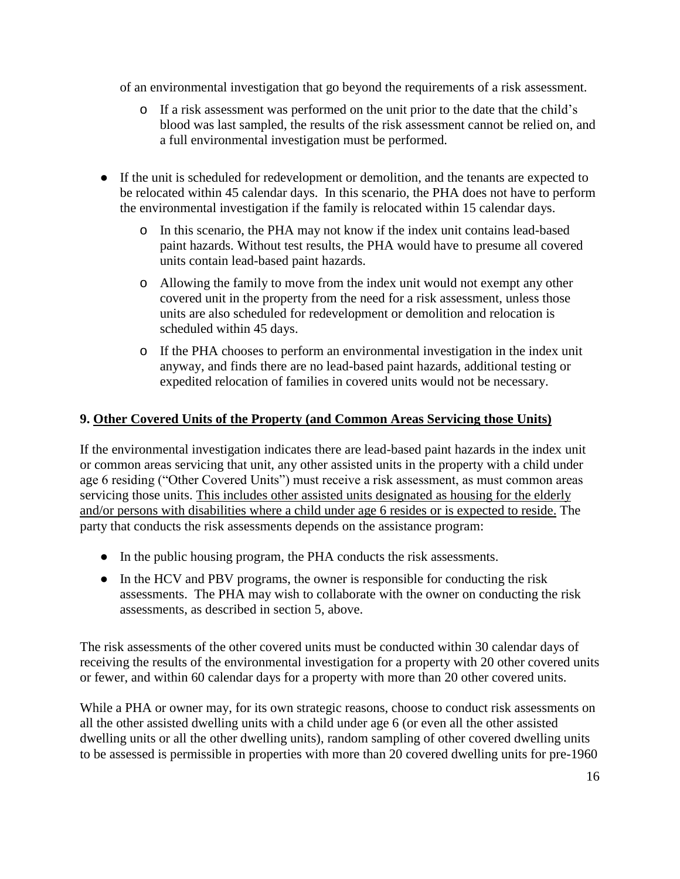of an environmental investigation that go beyond the requirements of a risk assessment.

- o If a risk assessment was performed on the unit prior to the date that the child's blood was last sampled, the results of the risk assessment cannot be relied on, and a full environmental investigation must be performed.
- If the unit is scheduled for redevelopment or demolition, and the tenants are expected to be relocated within 45 calendar days. In this scenario, the PHA does not have to perform the environmental investigation if the family is relocated within 15 calendar days.
	- o In this scenario, the PHA may not know if the index unit contains lead-based paint hazards. Without test results, the PHA would have to presume all covered units contain lead-based paint hazards.
	- o Allowing the family to move from the index unit would not exempt any other covered unit in the property from the need for a risk assessment, unless those units are also scheduled for redevelopment or demolition and relocation is scheduled within 45 days.
	- o If the PHA chooses to perform an environmental investigation in the index unit anyway, and finds there are no lead-based paint hazards, additional testing or expedited relocation of families in covered units would not be necessary.

## **9. Other Covered Units of the Property (and Common Areas Servicing those Units)**

If the environmental investigation indicates there are lead-based paint hazards in the index unit or common areas servicing that unit, any other assisted units in the property with a child under age 6 residing ("Other Covered Units") must receive a risk assessment, as must common areas servicing those units. This includes other assisted units designated as housing for the elderly and/or persons with disabilities where a child under age 6 resides or is expected to reside. The party that conducts the risk assessments depends on the assistance program:

- In the public housing program, the PHA conducts the risk assessments.
- In the HCV and PBV programs, the owner is responsible for conducting the risk assessments. The PHA may wish to collaborate with the owner on conducting the risk assessments, as described in section 5, above.

The risk assessments of the other covered units must be conducted within 30 calendar days of receiving the results of the environmental investigation for a property with 20 other covered units or fewer, and within 60 calendar days for a property with more than 20 other covered units.

While a PHA or owner may, for its own strategic reasons, choose to conduct risk assessments on all the other assisted dwelling units with a child under age 6 (or even all the other assisted dwelling units or all the other dwelling units), random sampling of other covered dwelling units to be assessed is permissible in properties with more than 20 covered dwelling units for pre-1960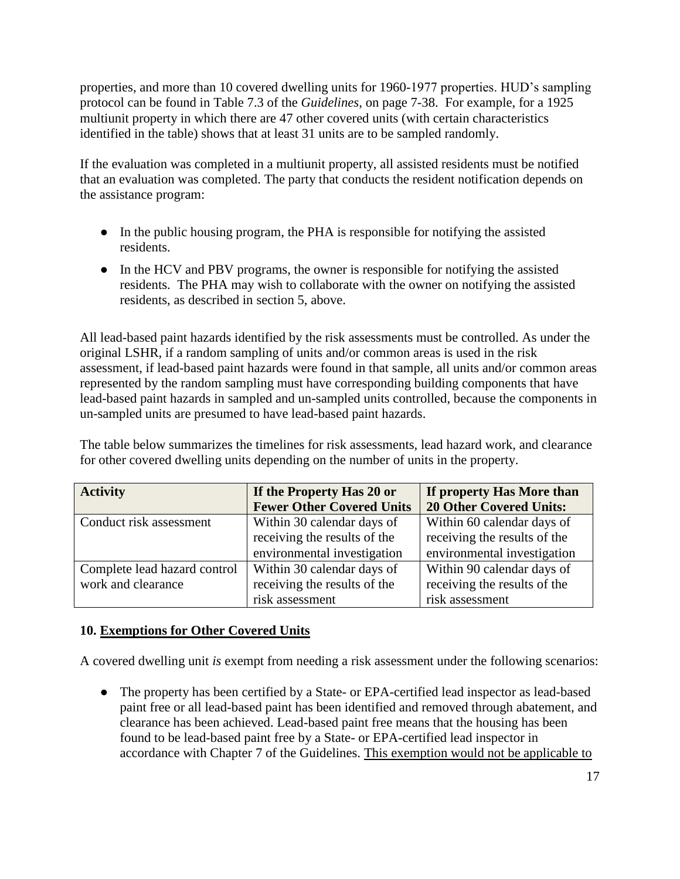properties, and more than 10 covered dwelling units for 1960-1977 properties. HUD's sampling protocol can be found in Table 7.3 of the *Guidelines,* on page 7-38. For example, for a 1925 multiunit property in which there are 47 other covered units (with certain characteristics identified in the table) shows that at least 31 units are to be sampled randomly.

If the evaluation was completed in a multiunit property, all assisted residents must be notified that an evaluation was completed. The party that conducts the resident notification depends on the assistance program:

- In the public housing program, the PHA is responsible for notifying the assisted residents.
- In the HCV and PBV programs, the owner is responsible for notifying the assisted residents. The PHA may wish to collaborate with the owner on notifying the assisted residents, as described in section 5, above.

All lead-based paint hazards identified by the risk assessments must be controlled. As under the original LSHR, if a random sampling of units and/or common areas is used in the risk assessment, if lead-based paint hazards were found in that sample, all units and/or common areas represented by the random sampling must have corresponding building components that have lead-based paint hazards in sampled and un-sampled units controlled, because the components in un-sampled units are presumed to have lead-based paint hazards.

The table below summarizes the timelines for risk assessments, lead hazard work, and clearance for other covered dwelling units depending on the number of units in the property.

| <b>Activity</b>              | If the Property Has 20 or        | If property Has More than      |
|------------------------------|----------------------------------|--------------------------------|
|                              | <b>Fewer Other Covered Units</b> | <b>20 Other Covered Units:</b> |
| Conduct risk assessment      | Within 30 calendar days of       | Within 60 calendar days of     |
|                              | receiving the results of the     | receiving the results of the   |
|                              | environmental investigation      | environmental investigation    |
| Complete lead hazard control | Within 30 calendar days of       | Within 90 calendar days of     |
| work and clearance           | receiving the results of the     | receiving the results of the   |
|                              | risk assessment                  | risk assessment                |

### **10. Exemptions for Other Covered Units**

A covered dwelling unit *is* exempt from needing a risk assessment under the following scenarios:

• The property has been certified by a State- or EPA-certified lead inspector as lead-based paint free or all lead-based paint has been identified and removed through abatement, and clearance has been achieved. Lead-based paint free means that the housing has been found to be lead-based paint free by a State- or EPA-certified lead inspector in accordance with Chapter 7 of the Guidelines. This exemption would not be applicable to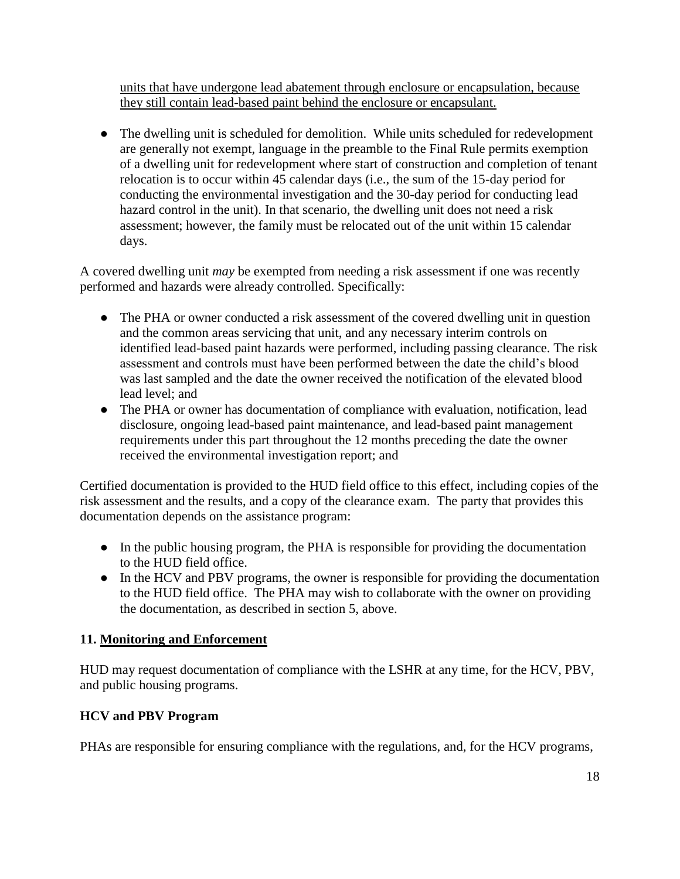units that have undergone lead abatement through enclosure or encapsulation, because they still contain lead-based paint behind the enclosure or encapsulant.

• The dwelling unit is scheduled for demolition. While units scheduled for redevelopment are generally not exempt, language in the preamble to the Final Rule permits exemption of a dwelling unit for redevelopment where start of construction and completion of tenant relocation is to occur within 45 calendar days (i.e., the sum of the 15-day period for conducting the environmental investigation and the 30-day period for conducting lead hazard control in the unit). In that scenario, the dwelling unit does not need a risk assessment; however, the family must be relocated out of the unit within 15 calendar days.

A covered dwelling unit *may* be exempted from needing a risk assessment if one was recently performed and hazards were already controlled. Specifically:

- The PHA or owner conducted a risk assessment of the covered dwelling unit in question and the common areas servicing that unit, and any necessary interim controls on identified lead-based paint hazards were performed, including passing clearance. The risk assessment and controls must have been performed between the date the child's blood was last sampled and the date the owner received the notification of the elevated blood lead level; and
- The PHA or owner has documentation of compliance with evaluation, notification, lead disclosure, ongoing lead-based paint maintenance, and lead-based paint management requirements under this part throughout the 12 months preceding the date the owner received the environmental investigation report; and

Certified documentation is provided to the HUD field office to this effect, including copies of the risk assessment and the results, and a copy of the clearance exam. The party that provides this documentation depends on the assistance program:

- In the public housing program, the PHA is responsible for providing the documentation to the HUD field office.
- In the HCV and PBV programs, the owner is responsible for providing the documentation to the HUD field office. The PHA may wish to collaborate with the owner on providing the documentation, as described in section 5, above.

# **11. Monitoring and Enforcement**

HUD may request documentation of compliance with the LSHR at any time, for the HCV, PBV, and public housing programs.

# **HCV and PBV Program**

PHAs are responsible for ensuring compliance with the regulations, and, for the HCV programs,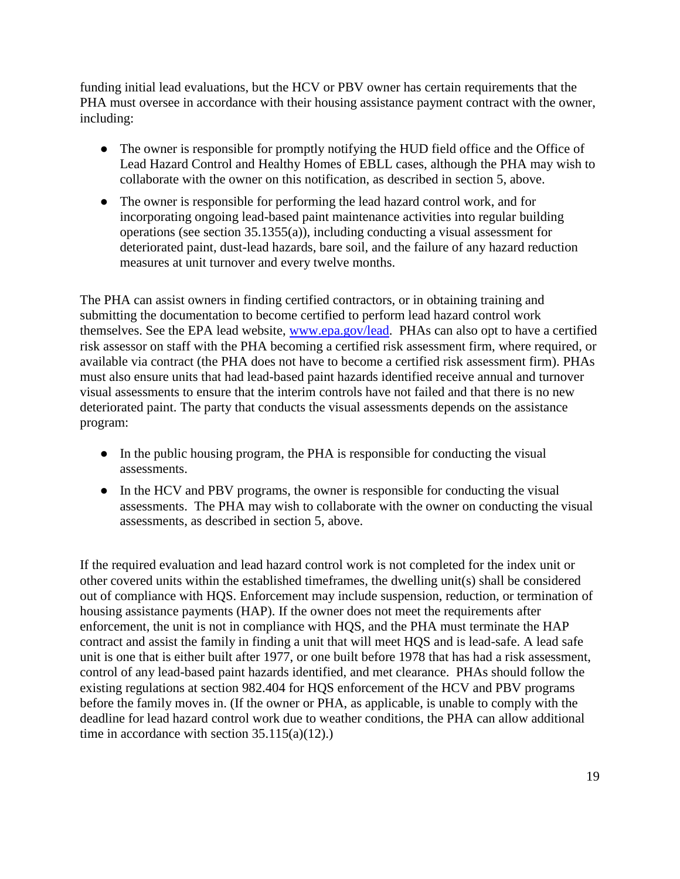funding initial lead evaluations, but the HCV or PBV owner has certain requirements that the PHA must oversee in accordance with their housing assistance payment contract with the owner, including:

- The owner is responsible for promptly notifying the HUD field office and the Office of Lead Hazard Control and Healthy Homes of EBLL cases, although the PHA may wish to collaborate with the owner on this notification, as described in section 5, above.
- The owner is responsible for performing the lead hazard control work, and for incorporating ongoing lead-based paint maintenance activities into regular building operations (see section 35.1355(a)), including conducting a visual assessment for deteriorated paint, dust-lead hazards, bare soil, and the failure of any hazard reduction measures at unit turnover and every twelve months.

The PHA can assist owners in finding certified contractors, or in obtaining training and submitting the documentation to become certified to perform lead hazard control work themselves. See the EPA lead website, [www.epa.gov/lead.](http://www.epa.gov/lead) PHAs can also opt to have a certified risk assessor on staff with the PHA becoming a certified risk assessment firm, where required, or available via contract (the PHA does not have to become a certified risk assessment firm). PHAs must also ensure units that had lead-based paint hazards identified receive annual and turnover visual assessments to ensure that the interim controls have not failed and that there is no new deteriorated paint. The party that conducts the visual assessments depends on the assistance program:

- In the public housing program, the PHA is responsible for conducting the visual assessments.
- In the HCV and PBV programs, the owner is responsible for conducting the visual assessments. The PHA may wish to collaborate with the owner on conducting the visual assessments, as described in section 5, above.

If the required evaluation and lead hazard control work is not completed for the index unit or other covered units within the established timeframes, the dwelling unit(s) shall be considered out of compliance with HQS. Enforcement may include suspension, reduction, or termination of housing assistance payments (HAP). If the owner does not meet the requirements after enforcement, the unit is not in compliance with HQS, and the PHA must terminate the HAP contract and assist the family in finding a unit that will meet HQS and is lead-safe. A lead safe unit is one that is either built after 1977, or one built before 1978 that has had a risk assessment, control of any lead-based paint hazards identified, and met clearance. PHAs should follow the existing regulations at section 982.404 for HQS enforcement of the HCV and PBV programs before the family moves in. (If the owner or PHA, as applicable, is unable to comply with the deadline for lead hazard control work due to weather conditions, the PHA can allow additional time in accordance with section  $35.115(a)(12)$ .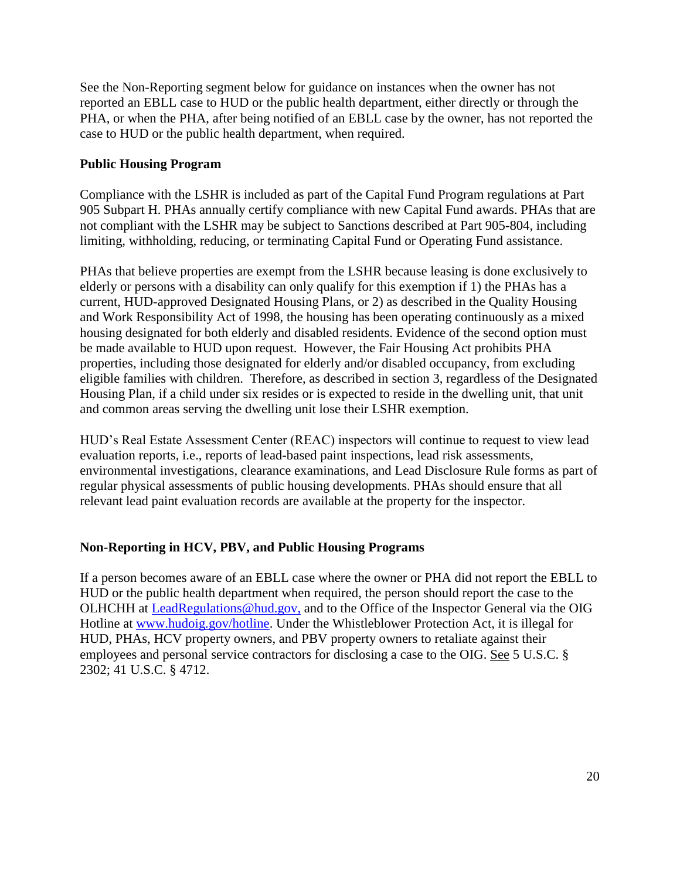See the Non-Reporting segment below for guidance on instances when the owner has not reported an EBLL case to HUD or the public health department, either directly or through the PHA, or when the PHA, after being notified of an EBLL case by the owner, has not reported the case to HUD or the public health department, when required.

### **Public Housing Program**

Compliance with the LSHR is included as part of the Capital Fund Program regulations at Part 905 Subpart H. PHAs annually certify compliance with new Capital Fund awards. PHAs that are not compliant with the LSHR may be subject to Sanctions described at Part 905-804, including limiting, withholding, reducing, or terminating Capital Fund or Operating Fund assistance.

PHAs that believe properties are exempt from the LSHR because leasing is done exclusively to elderly or persons with a disability can only qualify for this exemption if 1) the PHAs has a current, HUD-approved Designated Housing Plans, or 2) as described in the Quality Housing and Work Responsibility Act of 1998, the housing has been operating continuously as a mixed housing designated for both elderly and disabled residents. Evidence of the second option must be made available to HUD upon request. However, the Fair Housing Act prohibits PHA properties, including those designated for elderly and/or disabled occupancy, from excluding eligible families with children. Therefore, as described in section 3, regardless of the Designated Housing Plan, if a child under six resides or is expected to reside in the dwelling unit, that unit and common areas serving the dwelling unit lose their LSHR exemption.

HUD's Real Estate Assessment Center (REAC) inspectors will continue to request to view lead evaluation reports, i.e., reports of lead**-**based paint inspections, lead risk assessments, environmental investigations, clearance examinations, and Lead Disclosure Rule forms as part of regular physical assessments of public housing developments. PHAs should ensure that all relevant lead paint evaluation records are available at the property for the inspector.

### **Non-Reporting in HCV, PBV, and Public Housing Programs**

If a person becomes aware of an EBLL case where the owner or PHA did not report the EBLL to HUD or the public health department when required, the person should report the case to the OLHCHH at [LeadRegulations@hud.gov,](mailto:LeadRegulations@hud.gov) and to the Office of the Inspector General via the OIG Hotline at [www.hudoig.gov/hotline.](http://www.hudoig.gov/hotline) Under the Whistleblower Protection Act, it is illegal for HUD, PHAs, HCV property owners, and PBV property owners to retaliate against their employees and personal service contractors for disclosing a case to the OIG. See 5 U.S.C. § 2302; 41 U.S.C. § 4712.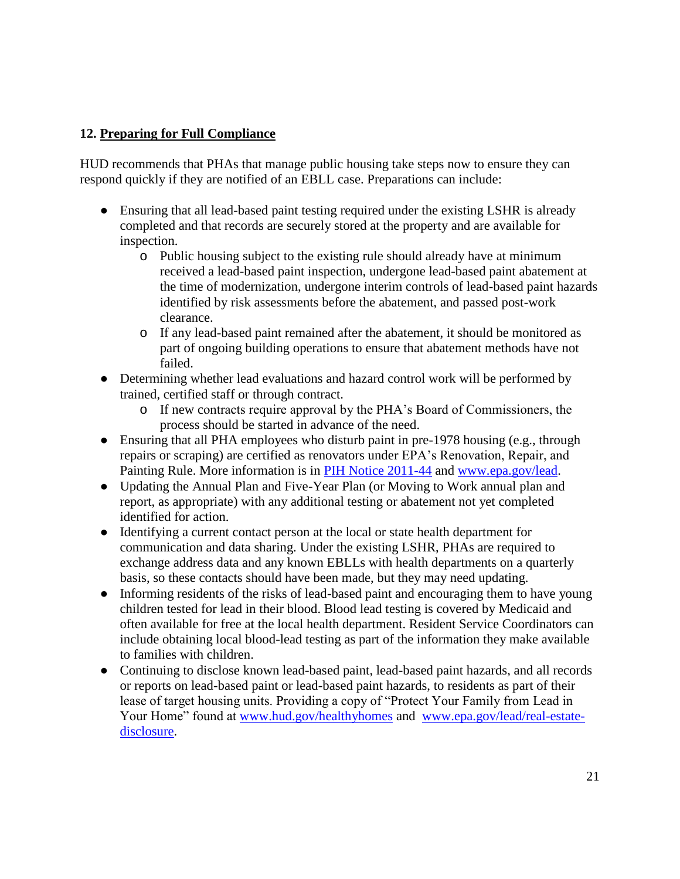## **12. Preparing for Full Compliance**

HUD recommends that PHAs that manage public housing take steps now to ensure they can respond quickly if they are notified of an EBLL case. Preparations can include:

- Ensuring that all lead-based paint testing required under the existing LSHR is already completed and that records are securely stored at the property and are available for inspection.
	- o Public housing subject to the existing rule should already have at minimum received a lead-based paint inspection, undergone lead-based paint abatement at the time of modernization, undergone interim controls of lead-based paint hazards identified by risk assessments before the abatement, and passed post-work clearance.
	- o If any lead-based paint remained after the abatement, it should be monitored as part of ongoing building operations to ensure that abatement methods have not failed.
- Determining whether lead evaluations and hazard control work will be performed by trained, certified staff or through contract.
	- o If new contracts require approval by the PHA's Board of Commissioners, the process should be started in advance of the need.
- Ensuring that all PHA employees who disturb paint in pre-1978 housing (e.g., through repairs or scraping) are certified as renovators under EPA's Renovation, Repair, and Painting Rule. More information is in [PIH Notice 2011-44](https://portal.hud.gov/hudportal/documents/huddoc?id=pih2011-44.pdf) and [www.epa.gov/lead.](http://www.epa.gov/lead)
- Updating the Annual Plan and Five-Year Plan (or Moving to Work annual plan and report, as appropriate) with any additional testing or abatement not yet completed identified for action.
- Identifying a current contact person at the local or state health department for communication and data sharing. Under the existing LSHR, PHAs are required to exchange address data and any known EBLLs with health departments on a quarterly basis, so these contacts should have been made, but they may need updating.
- Informing residents of the risks of lead-based paint and encouraging them to have young children tested for lead in their blood. Blood lead testing is covered by Medicaid and often available for free at the local health department. Resident Service Coordinators can include obtaining local blood-lead testing as part of the information they make available to families with children.
- Continuing to disclose known lead-based paint, lead-based paint hazards, and all records or reports on lead-based paint or lead-based paint hazards, to residents as part of their lease of target housing units. Providing a copy of "Protect Your Family from Lead in Your Home" found at [www.hud.gov/healthyhomes](http://www.hud.gov/healthyhomes) and [www.epa.gov/lead/real-estate](http://www.epa.gov/lead/real-estate-disclosure)[disclosure.](http://www.epa.gov/lead/real-estate-disclosure)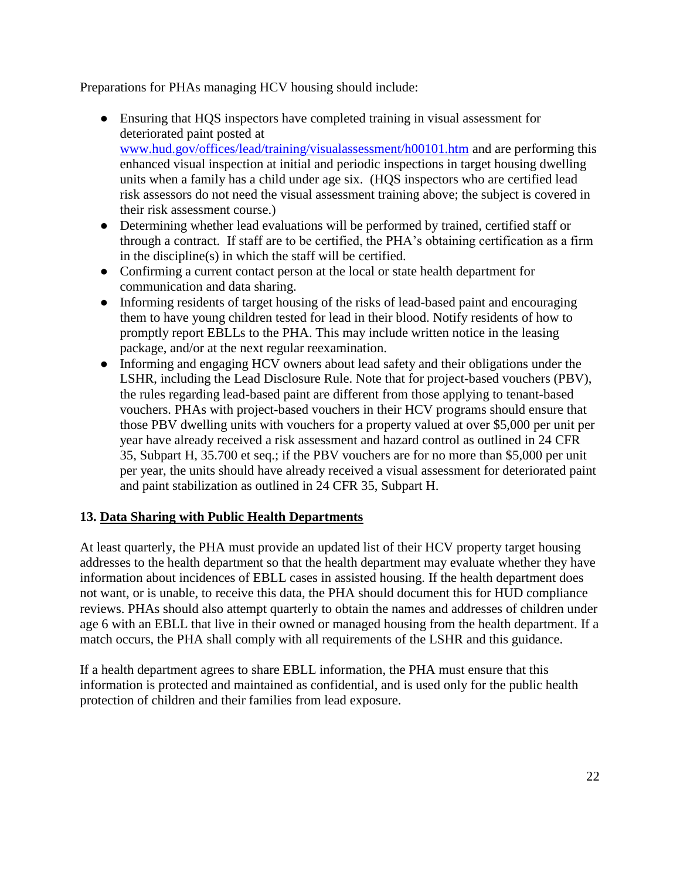Preparations for PHAs managing HCV housing should include:

- Ensuring that HQS inspectors have completed training in visual assessment for deteriorated paint posted at [www.hud.gov/offices/lead/training/visualassessment/h00101.htm](about:blank) and are performing this enhanced visual inspection at initial and periodic inspections in target housing dwelling units when a family has a child under age six. (HQS inspectors who are certified lead risk assessors do not need the visual assessment training above; the subject is covered in their risk assessment course.)
- Determining whether lead evaluations will be performed by trained, certified staff or through a contract. If staff are to be certified, the PHA's obtaining certification as a firm in the discipline(s) in which the staff will be certified.
- Confirming a current contact person at the local or state health department for communication and data sharing.
- Informing residents of target housing of the risks of lead-based paint and encouraging them to have young children tested for lead in their blood. Notify residents of how to promptly report EBLLs to the PHA. This may include written notice in the leasing package, and/or at the next regular reexamination.
- Informing and engaging HCV owners about lead safety and their obligations under the LSHR, including the Lead Disclosure Rule. Note that for project-based vouchers (PBV), the rules regarding lead-based paint are different from those applying to tenant-based vouchers. PHAs with project-based vouchers in their HCV programs should ensure that those PBV dwelling units with vouchers for a property valued at over \$5,000 per unit per year have already received a risk assessment and hazard control as outlined in 24 CFR 35, Subpart H, 35.700 et seq.; if the PBV vouchers are for no more than \$5,000 per unit per year, the units should have already received a visual assessment for deteriorated paint and paint stabilization as outlined in 24 CFR 35, Subpart H.

# **13. Data Sharing with Public Health Departments**

At least quarterly, the PHA must provide an updated list of their HCV property target housing addresses to the health department so that the health department may evaluate whether they have information about incidences of EBLL cases in assisted housing. If the health department does not want, or is unable, to receive this data, the PHA should document this for HUD compliance reviews. PHAs should also attempt quarterly to obtain the names and addresses of children under age 6 with an EBLL that live in their owned or managed housing from the health department. If a match occurs, the PHA shall comply with all requirements of the LSHR and this guidance.

If a health department agrees to share EBLL information, the PHA must ensure that this information is protected and maintained as confidential, and is used only for the public health protection of children and their families from lead exposure.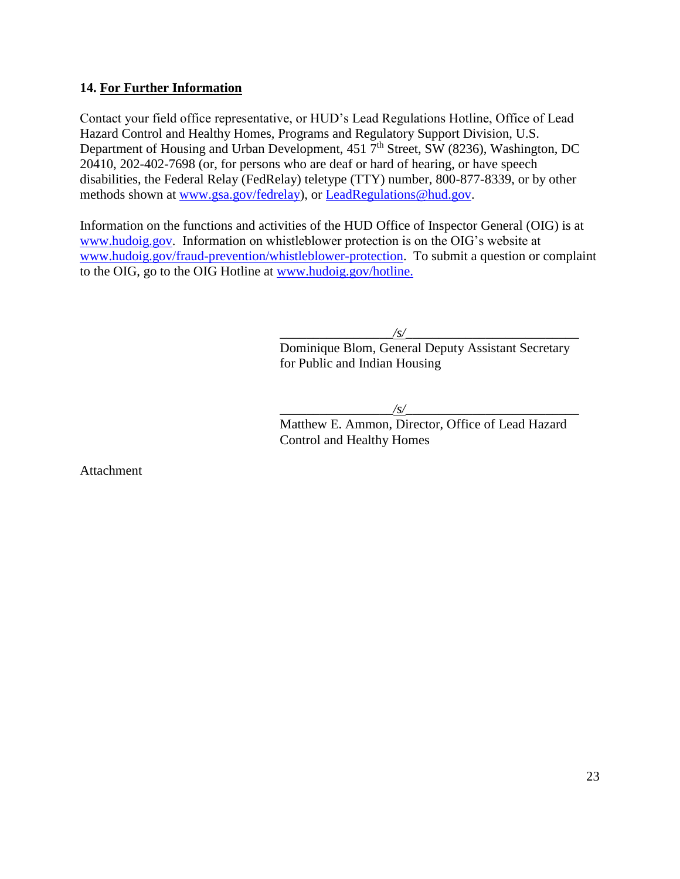### **14. For Further Information**

Contact your field office representative, or HUD's Lead Regulations Hotline, Office of Lead Hazard Control and Healthy Homes, Programs and Regulatory Support Division, U.S. Department of Housing and Urban Development, 451 7<sup>th</sup> Street, SW (8236), Washington, DC 20410, 202-402-7698 (or, for persons who are deaf or hard of hearing, or have speech disabilities, the Federal Relay (FedRelay) teletype (TTY) number, 800-877-8339, or by other methods shown at [www.gsa.gov/fedrelay\)](http://www.gsa.gov/fedrelay), or [LeadRegulations@hud.gov.](mailto:LeadRegulations@hud.gov)

Information on the functions and activities of the HUD Office of Inspector General (OIG) is at [www.hudoig.gov.](http://www.hudoig.gov/) Information on whistleblower protection is on the OIG's website at [www.hudoig.gov/fraud-prevention/whistleblower-protection.](http://www.hudoig.gov/fraud-prevention/whistleblower-protection) To submit a question or complaint to the OIG, go to the OIG Hotline at [www.hudoig.gov/hotline.](http://www.hudoig.gov/hotline)

\_\_\_\_\_\_\_\_\_\_\_\_\_\_\_\_\_*/s/*\_\_\_\_\_\_\_\_\_\_\_\_\_\_\_\_\_\_\_\_\_\_\_\_\_\_

Dominique Blom, General Deputy Assistant Secretary for Public and Indian Housing

\_\_\_\_\_\_\_\_\_\_\_\_\_\_\_\_\_*/s/*\_\_\_\_\_\_\_\_\_\_\_\_\_\_\_\_\_\_\_\_\_\_\_\_\_\_

Matthew E. Ammon, Director, Office of Lead Hazard Control and Healthy Homes

Attachment